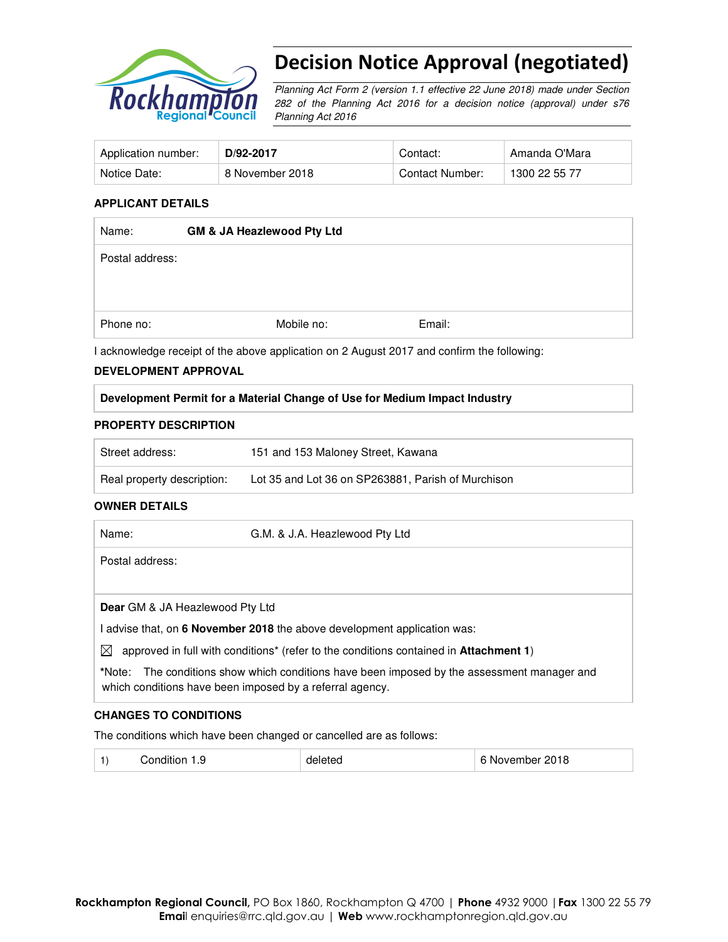

# Decision Notice Approval (negotiated)

Planning Act Form 2 (version 1.1 effective 22 June 2018) made under Section 282 of the Planning Act 2016 for a decision notice (approval) under s76 Planning Act 2016

| Application number: | D/92-2017       | Contact:        | Amanda O'Mara |
|---------------------|-----------------|-----------------|---------------|
| Notice Date:        | 8 November 2018 | Contact Number: | 1300 22 55 77 |

## **APPLICANT DETAILS**

| Name:           | <b>GM &amp; JA Heazlewood Pty Ltd</b> |            |        |
|-----------------|---------------------------------------|------------|--------|
| Postal address: |                                       |            |        |
|                 |                                       |            |        |
| Phone no:       |                                       | Mobile no: | Email: |

I acknowledge receipt of the above application on 2 August 2017 and confirm the following:

#### **DEVELOPMENT APPROVAL**

## **Development Permit for a Material Change of Use for Medium Impact Industry**

#### **PROPERTY DESCRIPTION**

| Street address:            | 151 and 153 Maloney Street, Kawana                 |
|----------------------------|----------------------------------------------------|
| Real property description: | Lot 35 and Lot 36 on SP263881, Parish of Murchison |

#### **OWNER DETAILS**

| Name:                                  | G.M. & J.A. Heazlewood Pty Ltd                                                                                                                          |
|----------------------------------------|---------------------------------------------------------------------------------------------------------------------------------------------------------|
| Postal address:                        |                                                                                                                                                         |
|                                        |                                                                                                                                                         |
| <b>Dear</b> GM & JA Heazlewood Pty Ltd |                                                                                                                                                         |
|                                        | I advise that, on 6 November 2018 the above development application was:                                                                                |
| ⊠                                      | approved in full with conditions <sup>*</sup> (refer to the conditions contained in <b>Attachment 1</b> )                                               |
|                                        | *Note: The conditions show which conditions have been imposed by the assessment manager and<br>which conditions have been imposed by a referral agency. |

#### **CHANGES TO CONDITIONS**

The conditions which have been changed or cancelled are as follows:

| - G<br>$-0.02$<br>.<br>unar<br>ں ، | ⊶ו∟יי<br>. . | 2018<br>- INF<br>overnoer |
|------------------------------------|--------------|---------------------------|
|------------------------------------|--------------|---------------------------|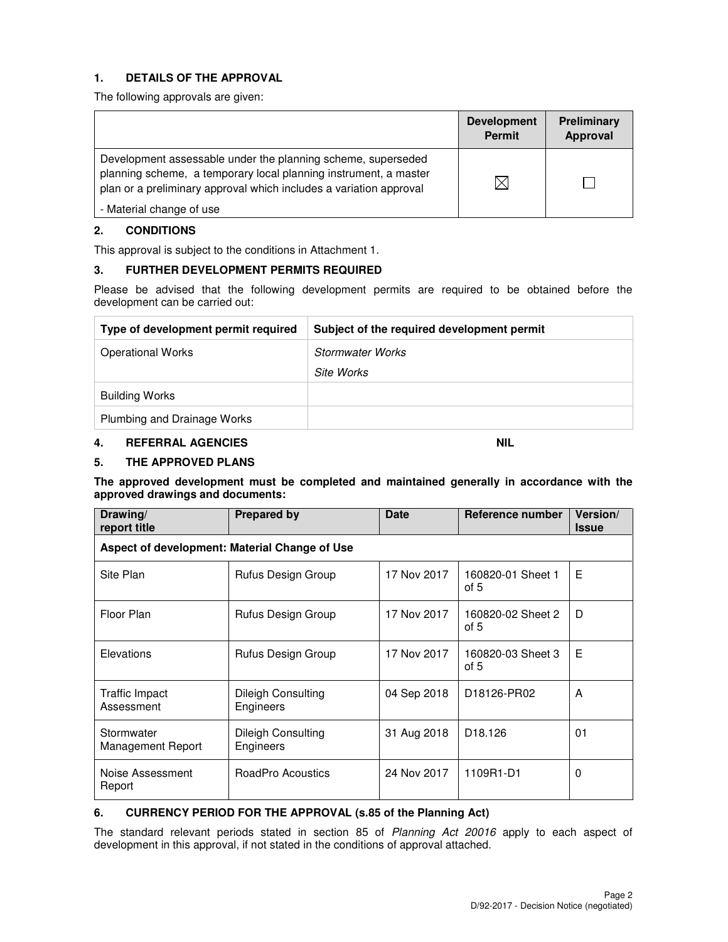# **1. DETAILS OF THE APPROVAL**

The following approvals are given:

|                                                                                                                                                                                                        | <b>Development</b><br><b>Permit</b> | <b>Preliminary</b><br>Approval |
|--------------------------------------------------------------------------------------------------------------------------------------------------------------------------------------------------------|-------------------------------------|--------------------------------|
| Development assessable under the planning scheme, superseded<br>planning scheme, a temporary local planning instrument, a master<br>plan or a preliminary approval which includes a variation approval | $\times$                            |                                |
| - Material change of use                                                                                                                                                                               |                                     |                                |

#### **2. CONDITIONS**

This approval is subject to the conditions in Attachment 1.

# **3. FURTHER DEVELOPMENT PERMITS REQUIRED**

Please be advised that the following development permits are required to be obtained before the development can be carried out:

| Type of development permit required | Subject of the required development permit |
|-------------------------------------|--------------------------------------------|
| <b>Operational Works</b>            | <b>Stormwater Works</b>                    |
|                                     | Site Works                                 |
| <b>Building Works</b>               |                                            |
| Plumbing and Drainage Works         |                                            |

#### **4. REFERRAL AGENCIES NIL 2008 AND ALL 2009 AND AREA REFERRAL AGENCIES**

#### **5. THE APPROVED PLANS**

**The approved development must be completed and maintained generally in accordance with the approved drawings and documents:** 

| Drawing/<br>report title        | <b>Prepared by</b>                            | <b>Date</b> | Reference number            | <b>Version</b> /<br><b>Issue</b> |  |  |  |  |
|---------------------------------|-----------------------------------------------|-------------|-----------------------------|----------------------------------|--|--|--|--|
|                                 | Aspect of development: Material Change of Use |             |                             |                                  |  |  |  |  |
| Site Plan                       | Rufus Design Group                            | 17 Nov 2017 | 160820-01 Sheet 1<br>of $5$ | Е                                |  |  |  |  |
| Floor Plan                      | Rufus Design Group                            | 17 Nov 2017 | 160820-02 Sheet 2<br>of 5   | D                                |  |  |  |  |
| Elevations                      | Rufus Design Group                            | 17 Nov 2017 | 160820-03 Sheet 3<br>of 5   | E                                |  |  |  |  |
| Traffic Impact<br>Assessment    | Dileigh Consulting<br>Engineers               | 04 Sep 2018 | D18126-PR02                 | A                                |  |  |  |  |
| Stormwater<br>Management Report | Dileigh Consulting<br>Engineers               | 31 Aug 2018 | D <sub>18.126</sub>         | 01                               |  |  |  |  |
| Noise Assessment<br>Report      | RoadPro Acoustics                             | 24 Nov 2017 | 1109R1-D1                   | 0                                |  |  |  |  |

## **6. CURRENCY PERIOD FOR THE APPROVAL (s.85 of the Planning Act)**

The standard relevant periods stated in section 85 of Planning Act 20016 apply to each aspect of development in this approval, if not stated in the conditions of approval attached.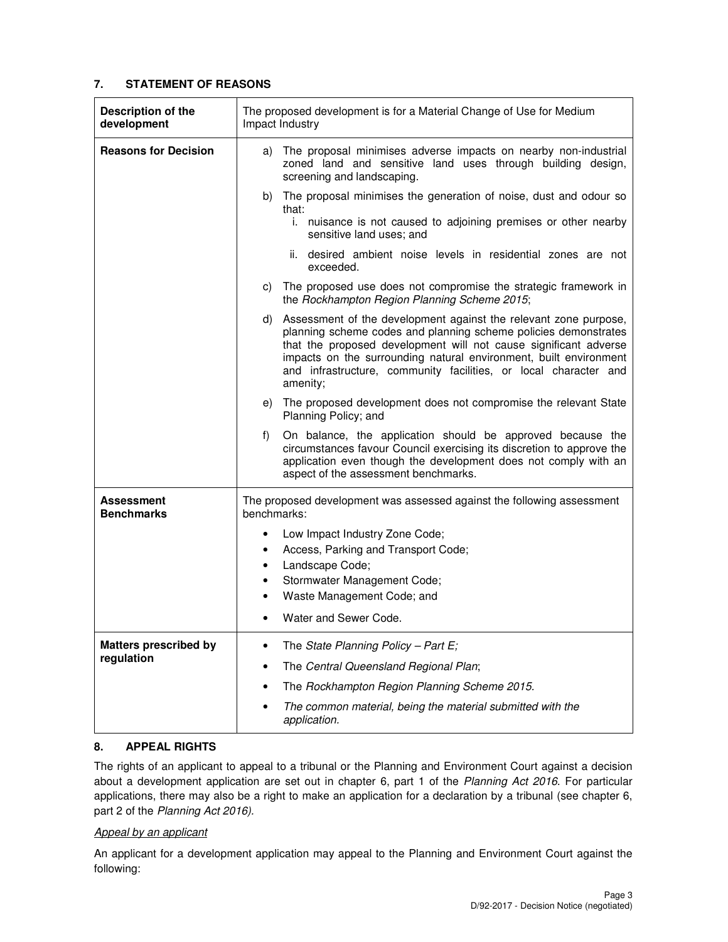# **7. STATEMENT OF REASONS**

| Description of the<br>development | The proposed development is for a Material Change of Use for Medium<br>Impact Industry                                                                                                                                                                                                                                                                             |  |  |
|-----------------------------------|--------------------------------------------------------------------------------------------------------------------------------------------------------------------------------------------------------------------------------------------------------------------------------------------------------------------------------------------------------------------|--|--|
| <b>Reasons for Decision</b>       | The proposal minimises adverse impacts on nearby non-industrial<br>a)<br>zoned land and sensitive land uses through building design,<br>screening and landscaping.                                                                                                                                                                                                 |  |  |
|                                   | The proposal minimises the generation of noise, dust and odour so<br>b)<br>that:<br>i. nuisance is not caused to adjoining premises or other nearby<br>sensitive land uses; and                                                                                                                                                                                    |  |  |
|                                   | desired ambient noise levels in residential zones are not<br>ii.<br>exceeded.                                                                                                                                                                                                                                                                                      |  |  |
|                                   | The proposed use does not compromise the strategic framework in<br>C)<br>the Rockhampton Region Planning Scheme 2015;                                                                                                                                                                                                                                              |  |  |
|                                   | Assessment of the development against the relevant zone purpose,<br>d)<br>planning scheme codes and planning scheme policies demonstrates<br>that the proposed development will not cause significant adverse<br>impacts on the surrounding natural environment, built environment<br>and infrastructure, community facilities, or local character and<br>amenity; |  |  |
|                                   | The proposed development does not compromise the relevant State<br>e)<br>Planning Policy; and                                                                                                                                                                                                                                                                      |  |  |
|                                   | f)<br>On balance, the application should be approved because the<br>circumstances favour Council exercising its discretion to approve the<br>application even though the development does not comply with an<br>aspect of the assessment benchmarks.                                                                                                               |  |  |
| Assessment<br><b>Benchmarks</b>   | The proposed development was assessed against the following assessment<br>benchmarks:                                                                                                                                                                                                                                                                              |  |  |
|                                   | Low Impact Industry Zone Code;<br>$\bullet$<br>Access, Parking and Transport Code;<br>$\bullet$<br>Landscape Code;<br>$\bullet$<br>Stormwater Management Code;<br>$\bullet$<br>Waste Management Code; and<br>$\bullet$<br>Water and Sewer Code.                                                                                                                    |  |  |
| <b>Matters prescribed by</b>      | The State Planning Policy - Part $E_i$ ;                                                                                                                                                                                                                                                                                                                           |  |  |
| regulation                        | The Central Queensland Regional Plan;                                                                                                                                                                                                                                                                                                                              |  |  |
|                                   | The Rockhampton Region Planning Scheme 2015.                                                                                                                                                                                                                                                                                                                       |  |  |
|                                   | The common material, being the material submitted with the<br>application.                                                                                                                                                                                                                                                                                         |  |  |

# **8. APPEAL RIGHTS**

The rights of an applicant to appeal to a tribunal or the Planning and Environment Court against a decision about a development application are set out in chapter 6, part 1 of the Planning Act 2016. For particular applications, there may also be a right to make an application for a declaration by a tribunal (see chapter 6, part 2 of the Planning Act 2016).

## Appeal by an applicant

An applicant for a development application may appeal to the Planning and Environment Court against the following: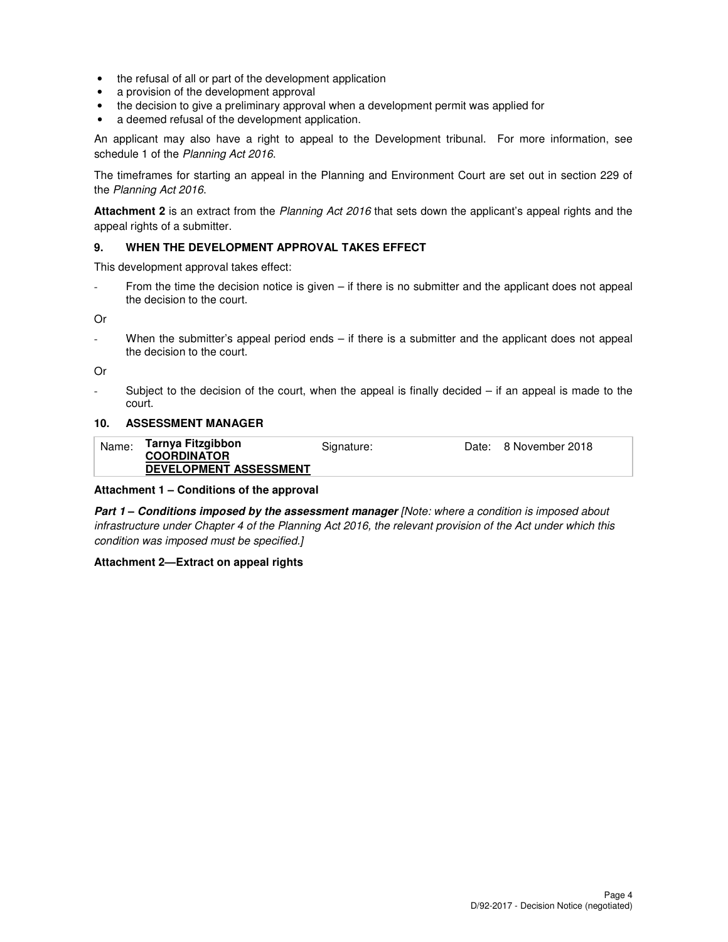- the refusal of all or part of the development application
- a provision of the development approval
- the decision to give a preliminary approval when a development permit was applied for
- a deemed refusal of the development application.

An applicant may also have a right to appeal to the Development tribunal. For more information, see schedule 1 of the Planning Act 2016.

The timeframes for starting an appeal in the Planning and Environment Court are set out in section 229 of the Planning Act 2016.

**Attachment 2** is an extract from the Planning Act 2016 that sets down the applicant's appeal rights and the appeal rights of a submitter.

#### **9. WHEN THE DEVELOPMENT APPROVAL TAKES EFFECT**

This development approval takes effect:

From the time the decision notice is given – if there is no submitter and the applicant does not appeal the decision to the court.

Or

When the submitter's appeal period ends – if there is a submitter and the applicant does not appeal the decision to the court.

Or

Subject to the decision of the court, when the appeal is finally decided  $-$  if an appeal is made to the court.

#### **10. ASSESSMENT MANAGER**

| Name: | Tarnya Fitzgibbon<br><b>COORDINATOR</b> | Signature: | Date: 8 November 2018 |
|-------|-----------------------------------------|------------|-----------------------|
|       | <b>DEVELOPMENT ASSESSMENT</b>           |            |                       |

#### **Attachment 1 – Conditions of the approval**

**Part 1 – Conditions imposed by the assessment manager** [Note: where a condition is imposed about infrastructure under Chapter 4 of the Planning Act 2016, the relevant provision of the Act under which this condition was imposed must be specified.]

#### **Attachment 2—Extract on appeal rights**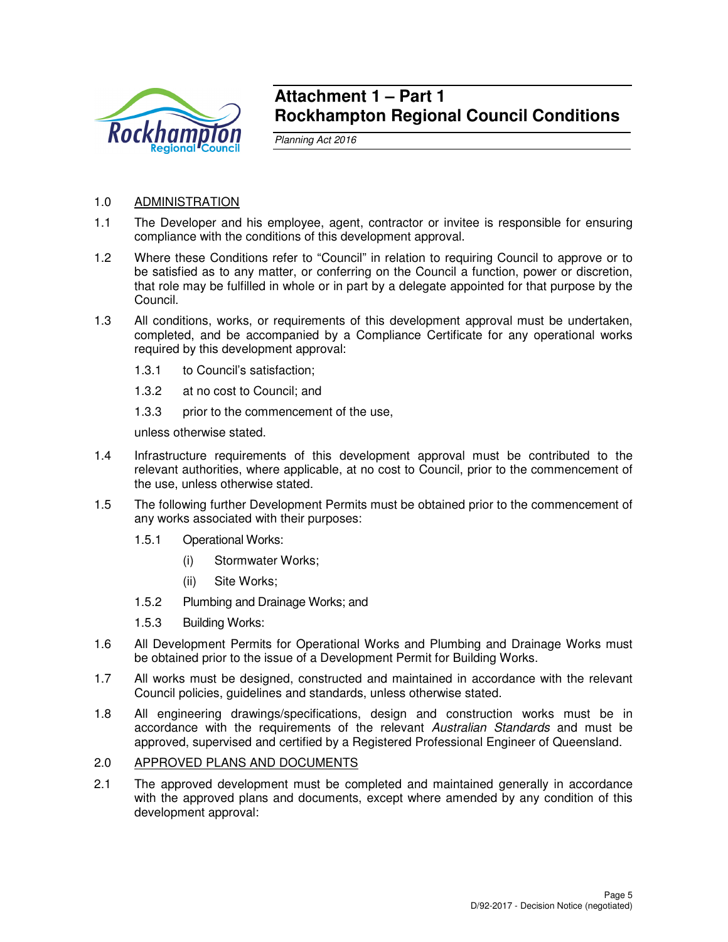

# **Attachment 1 – Part 1 Rockhampton Regional Council Conditions**

Planning Act 2016

# 1.0 ADMINISTRATION

- 1.1 The Developer and his employee, agent, contractor or invitee is responsible for ensuring compliance with the conditions of this development approval.
- 1.2 Where these Conditions refer to "Council" in relation to requiring Council to approve or to be satisfied as to any matter, or conferring on the Council a function, power or discretion, that role may be fulfilled in whole or in part by a delegate appointed for that purpose by the Council.
- 1.3 All conditions, works, or requirements of this development approval must be undertaken, completed, and be accompanied by a Compliance Certificate for any operational works required by this development approval:
	- 1.3.1 to Council's satisfaction;
	- 1.3.2 at no cost to Council; and
	- 1.3.3 prior to the commencement of the use,

unless otherwise stated.

- 1.4 Infrastructure requirements of this development approval must be contributed to the relevant authorities, where applicable, at no cost to Council, prior to the commencement of the use, unless otherwise stated.
- 1.5 The following further Development Permits must be obtained prior to the commencement of any works associated with their purposes:
	- 1.5.1 Operational Works:
		- (i) Stormwater Works;
		- (ii) Site Works;
	- 1.5.2 Plumbing and Drainage Works; and
	- 1.5.3 Building Works:
- 1.6 All Development Permits for Operational Works and Plumbing and Drainage Works must be obtained prior to the issue of a Development Permit for Building Works.
- 1.7 All works must be designed, constructed and maintained in accordance with the relevant Council policies, guidelines and standards, unless otherwise stated.
- 1.8 All engineering drawings/specifications, design and construction works must be in accordance with the requirements of the relevant Australian Standards and must be approved, supervised and certified by a Registered Professional Engineer of Queensland.

## 2.0 APPROVED PLANS AND DOCUMENTS

2.1 The approved development must be completed and maintained generally in accordance with the approved plans and documents, except where amended by any condition of this development approval: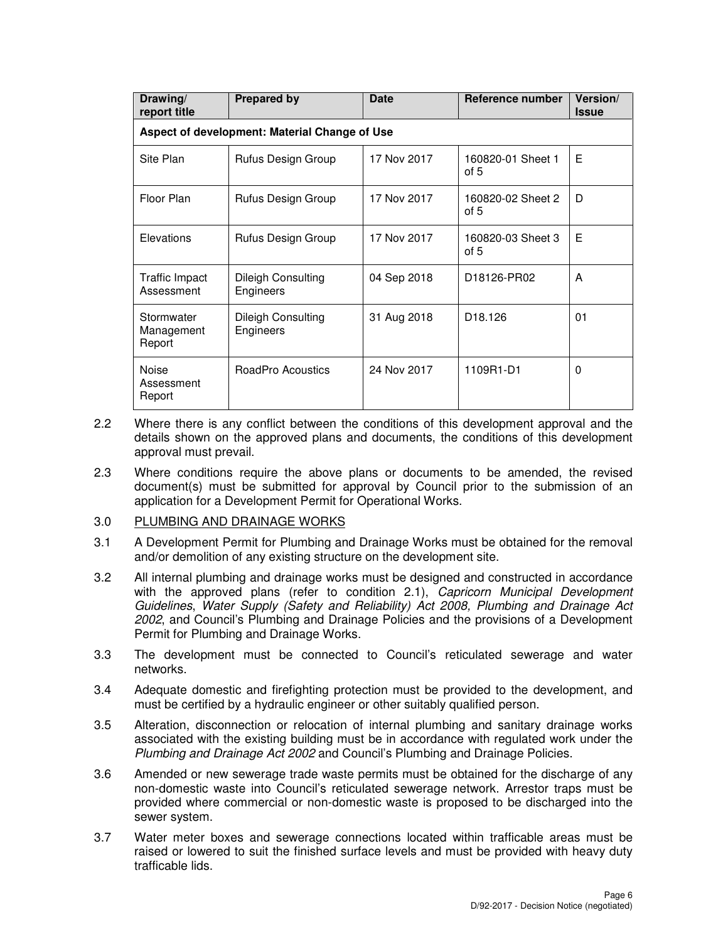| Drawing/<br>report title             | <b>Prepared by</b>                            | <b>Date</b> | Reference number                     | Version/<br><b>Issue</b> |  |  |  |  |
|--------------------------------------|-----------------------------------------------|-------------|--------------------------------------|--------------------------|--|--|--|--|
|                                      | Aspect of development: Material Change of Use |             |                                      |                          |  |  |  |  |
| Site Plan                            | Rufus Design Group                            | 17 Nov 2017 | 160820-01 Sheet 1<br>of 5            | E                        |  |  |  |  |
| Floor Plan                           | Rufus Design Group                            | 17 Nov 2017 | 160820-02 Sheet 2<br>of $5$          | D                        |  |  |  |  |
| Elevations                           | Rufus Design Group                            | 17 Nov 2017 | 160820-03 Sheet 3<br>of 5            | E                        |  |  |  |  |
| Traffic Impact<br>Assessment         | Dileigh Consulting<br>Engineers               | 04 Sep 2018 | D <sub>18126</sub> -PR <sub>02</sub> | A                        |  |  |  |  |
| Stormwater<br>Management<br>Report   | Dileigh Consulting<br>Engineers               | 31 Aug 2018 | D <sub>18.126</sub>                  | 01                       |  |  |  |  |
| <b>Noise</b><br>Assessment<br>Report | RoadPro Acoustics                             | 24 Nov 2017 | 1109R1-D1                            | 0                        |  |  |  |  |

- 2.2 Where there is any conflict between the conditions of this development approval and the details shown on the approved plans and documents, the conditions of this development approval must prevail.
- 2.3 Where conditions require the above plans or documents to be amended, the revised document(s) must be submitted for approval by Council prior to the submission of an application for a Development Permit for Operational Works.
- 3.0 PLUMBING AND DRAINAGE WORKS
- 3.1 A Development Permit for Plumbing and Drainage Works must be obtained for the removal and/or demolition of any existing structure on the development site.
- 3.2 All internal plumbing and drainage works must be designed and constructed in accordance with the approved plans (refer to condition 2.1), Capricorn Municipal Development Guidelines, Water Supply (Safety and Reliability) Act 2008, Plumbing and Drainage Act 2002, and Council's Plumbing and Drainage Policies and the provisions of a Development Permit for Plumbing and Drainage Works.
- 3.3 The development must be connected to Council's reticulated sewerage and water networks.
- 3.4 Adequate domestic and firefighting protection must be provided to the development, and must be certified by a hydraulic engineer or other suitably qualified person.
- 3.5 Alteration, disconnection or relocation of internal plumbing and sanitary drainage works associated with the existing building must be in accordance with regulated work under the Plumbing and Drainage Act 2002 and Council's Plumbing and Drainage Policies.
- 3.6 Amended or new sewerage trade waste permits must be obtained for the discharge of any non-domestic waste into Council's reticulated sewerage network. Arrestor traps must be provided where commercial or non-domestic waste is proposed to be discharged into the sewer system.
- 3.7 Water meter boxes and sewerage connections located within trafficable areas must be raised or lowered to suit the finished surface levels and must be provided with heavy duty trafficable lids.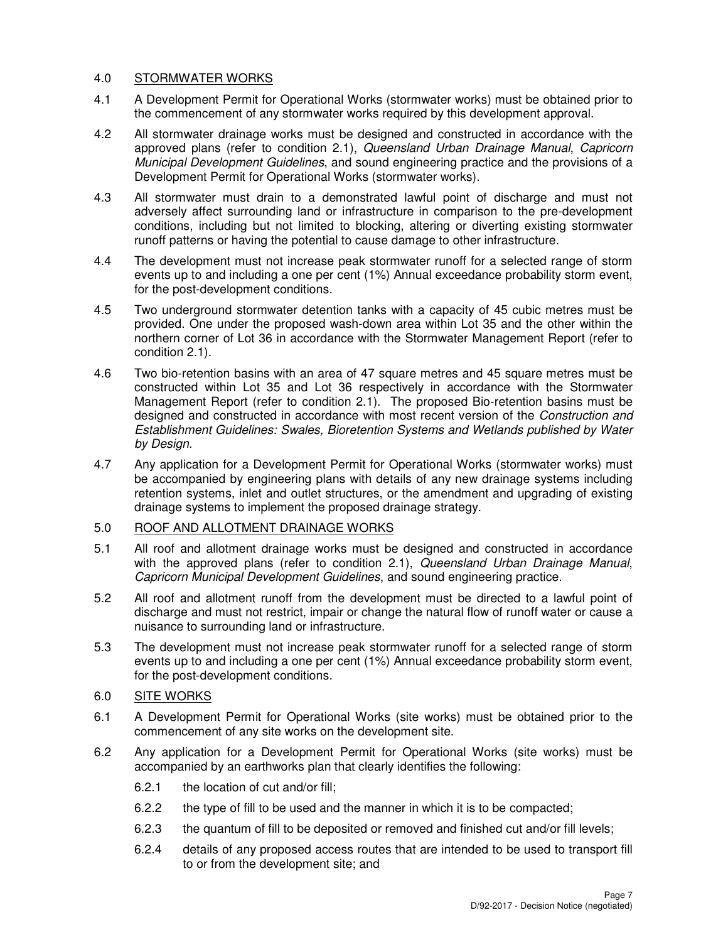# 4.0 STORMWATER WORKS

- 4.1 A Development Permit for Operational Works (stormwater works) must be obtained prior to the commencement of any stormwater works required by this development approval.
- 4.2 All stormwater drainage works must be designed and constructed in accordance with the approved plans (refer to condition 2.1), Queensland Urban Drainage Manual, Capricorn Municipal Development Guidelines, and sound engineering practice and the provisions of a Development Permit for Operational Works (stormwater works).
- 4.3 All stormwater must drain to a demonstrated lawful point of discharge and must not adversely affect surrounding land or infrastructure in comparison to the pre-development conditions, including but not limited to blocking, altering or diverting existing stormwater runoff patterns or having the potential to cause damage to other infrastructure.
- 4.4 The development must not increase peak stormwater runoff for a selected range of storm events up to and including a one per cent (1%) Annual exceedance probability storm event, for the post-development conditions.
- 4.5 Two underground stormwater detention tanks with a capacity of 45 cubic metres must be provided. One under the proposed wash-down area within Lot 35 and the other within the northern corner of Lot 36 in accordance with the Stormwater Management Report (refer to condition 2.1).
- 4.6 Two bio-retention basins with an area of 47 square metres and 45 square metres must be constructed within Lot 35 and Lot 36 respectively in accordance with the Stormwater Management Report (refer to condition 2.1). The proposed Bio-retention basins must be designed and constructed in accordance with most recent version of the Construction and Establishment Guidelines: Swales, Bioretention Systems and Wetlands published by Water by Design.
- 4.7 Any application for a Development Permit for Operational Works (stormwater works) must be accompanied by engineering plans with details of any new drainage systems including retention systems, inlet and outlet structures, or the amendment and upgrading of existing drainage systems to implement the proposed drainage strategy.

# 5.0 ROOF AND ALLOTMENT DRAINAGE WORKS

- 5.1 All roof and allotment drainage works must be designed and constructed in accordance with the approved plans (refer to condition 2.1), Queensland Urban Drainage Manual, Capricorn Municipal Development Guidelines, and sound engineering practice.
- 5.2 All roof and allotment runoff from the development must be directed to a lawful point of discharge and must not restrict, impair or change the natural flow of runoff water or cause a nuisance to surrounding land or infrastructure.
- 5.3 The development must not increase peak stormwater runoff for a selected range of storm events up to and including a one per cent (1%) Annual exceedance probability storm event, for the post-development conditions.
- 6.0 SITE WORKS
- 6.1 A Development Permit for Operational Works (site works) must be obtained prior to the commencement of any site works on the development site.
- 6.2 Any application for a Development Permit for Operational Works (site works) must be accompanied by an earthworks plan that clearly identifies the following:
	- 6.2.1 the location of cut and/or fill;
	- 6.2.2 the type of fill to be used and the manner in which it is to be compacted;
	- 6.2.3 the quantum of fill to be deposited or removed and finished cut and/or fill levels;
	- 6.2.4 details of any proposed access routes that are intended to be used to transport fill to or from the development site; and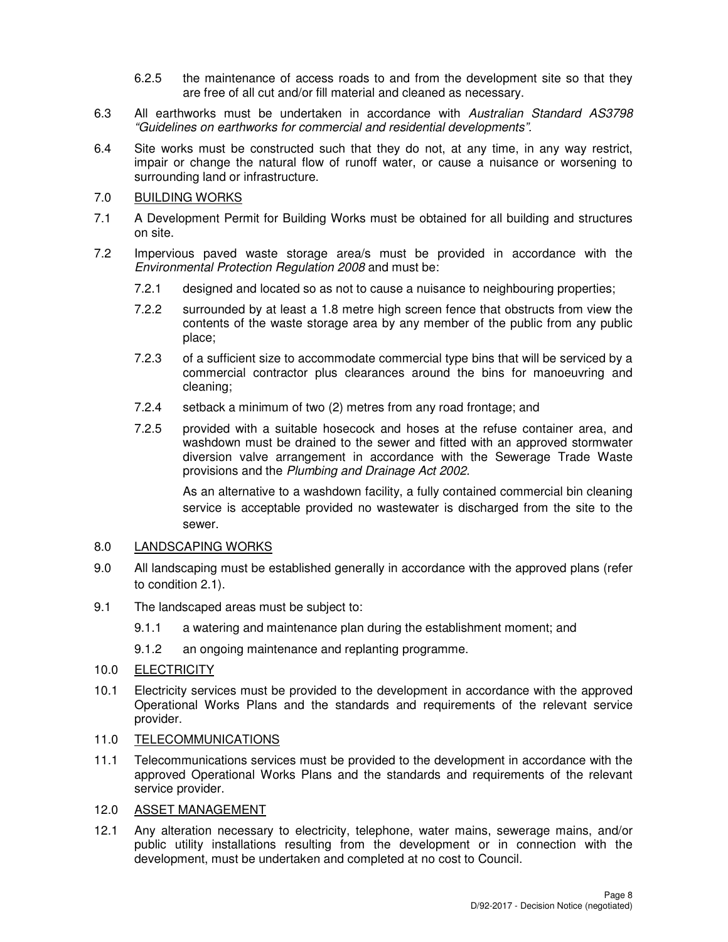- 6.2.5 the maintenance of access roads to and from the development site so that they are free of all cut and/or fill material and cleaned as necessary.
- 6.3 All earthworks must be undertaken in accordance with Australian Standard AS3798 "Guidelines on earthworks for commercial and residential developments".
- 6.4 Site works must be constructed such that they do not, at any time, in any way restrict, impair or change the natural flow of runoff water, or cause a nuisance or worsening to surrounding land or infrastructure.

# 7.0 BUILDING WORKS

- 7.1 A Development Permit for Building Works must be obtained for all building and structures on site.
- 7.2 Impervious paved waste storage area/s must be provided in accordance with the Environmental Protection Regulation 2008 and must be:
	- 7.2.1 designed and located so as not to cause a nuisance to neighbouring properties;
	- 7.2.2 surrounded by at least a 1.8 metre high screen fence that obstructs from view the contents of the waste storage area by any member of the public from any public place;
	- 7.2.3 of a sufficient size to accommodate commercial type bins that will be serviced by a commercial contractor plus clearances around the bins for manoeuvring and cleaning;
	- 7.2.4 setback a minimum of two (2) metres from any road frontage; and
	- 7.2.5 provided with a suitable hosecock and hoses at the refuse container area, and washdown must be drained to the sewer and fitted with an approved stormwater diversion valve arrangement in accordance with the Sewerage Trade Waste provisions and the Plumbing and Drainage Act 2002.

As an alternative to a washdown facility, a fully contained commercial bin cleaning service is acceptable provided no wastewater is discharged from the site to the sewer.

## 8.0 LANDSCAPING WORKS

- 9.0 All landscaping must be established generally in accordance with the approved plans (refer to condition 2.1).
- 9.1 The landscaped areas must be subject to:
	- 9.1.1 a watering and maintenance plan during the establishment moment; and
	- 9.1.2 an ongoing maintenance and replanting programme.
- 10.0 ELECTRICITY
- 10.1 Electricity services must be provided to the development in accordance with the approved Operational Works Plans and the standards and requirements of the relevant service provider.
- 11.0 TELECOMMUNICATIONS
- 11.1 Telecommunications services must be provided to the development in accordance with the approved Operational Works Plans and the standards and requirements of the relevant service provider.
- 12.0 ASSET MANAGEMENT
- 12.1 Any alteration necessary to electricity, telephone, water mains, sewerage mains, and/or public utility installations resulting from the development or in connection with the development, must be undertaken and completed at no cost to Council.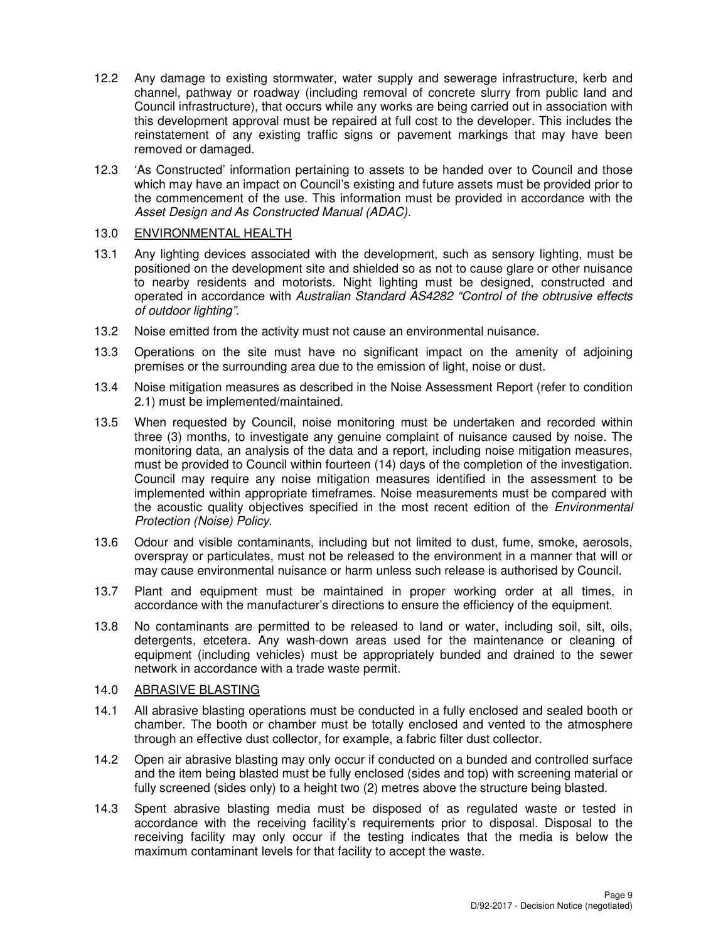- 12.2 Any damage to existing stormwater, water supply and sewerage infrastructure, kerb and channel, pathway or roadway (including removal of concrete slurry from public land and Council infrastructure), that occurs while any works are being carried out in association with this development approval must be repaired at full cost to the developer. This includes the reinstatement of any existing traffic signs or pavement markings that may have been removed or damaged.
- 12.3 'As Constructed' information pertaining to assets to be handed over to Council and those which may have an impact on Council's existing and future assets must be provided prior to the commencement of the use. This information must be provided in accordance with the Asset Design and As Constructed Manual (ADAC).

# 13.0 ENVIRONMENTAL HEALTH

- 13.1 Any lighting devices associated with the development, such as sensory lighting, must be positioned on the development site and shielded so as not to cause glare or other nuisance to nearby residents and motorists. Night lighting must be designed, constructed and operated in accordance with Australian Standard AS4282 "Control of the obtrusive effects of outdoor lighting".
- 13.2 Noise emitted from the activity must not cause an environmental nuisance.
- 13.3 Operations on the site must have no significant impact on the amenity of adjoining premises or the surrounding area due to the emission of light, noise or dust.
- 13.4 Noise mitigation measures as described in the Noise Assessment Report (refer to condition 2.1) must be implemented/maintained.
- 13.5 When requested by Council, noise monitoring must be undertaken and recorded within three (3) months, to investigate any genuine complaint of nuisance caused by noise. The monitoring data, an analysis of the data and a report, including noise mitigation measures, must be provided to Council within fourteen (14) days of the completion of the investigation. Council may require any noise mitigation measures identified in the assessment to be implemented within appropriate timeframes. Noise measurements must be compared with the acoustic quality objectives specified in the most recent edition of the *Environmental* Protection (Noise) Policy.
- 13.6 Odour and visible contaminants, including but not limited to dust, fume, smoke, aerosols, overspray or particulates, must not be released to the environment in a manner that will or may cause environmental nuisance or harm unless such release is authorised by Council.
- 13.7 Plant and equipment must be maintained in proper working order at all times, in accordance with the manufacturer's directions to ensure the efficiency of the equipment.
- 13.8 No contaminants are permitted to be released to land or water, including soil, silt, oils, detergents, etcetera. Any wash-down areas used for the maintenance or cleaning of equipment (including vehicles) must be appropriately bunded and drained to the sewer network in accordance with a trade waste permit.

# 14.0 ABRASIVE BLASTING

- 14.1 All abrasive blasting operations must be conducted in a fully enclosed and sealed booth or chamber. The booth or chamber must be totally enclosed and vented to the atmosphere through an effective dust collector, for example, a fabric filter dust collector.
- 14.2 Open air abrasive blasting may only occur if conducted on a bunded and controlled surface and the item being blasted must be fully enclosed (sides and top) with screening material or fully screened (sides only) to a height two (2) metres above the structure being blasted.
- 14.3 Spent abrasive blasting media must be disposed of as regulated waste or tested in accordance with the receiving facility's requirements prior to disposal. Disposal to the receiving facility may only occur if the testing indicates that the media is below the maximum contaminant levels for that facility to accept the waste.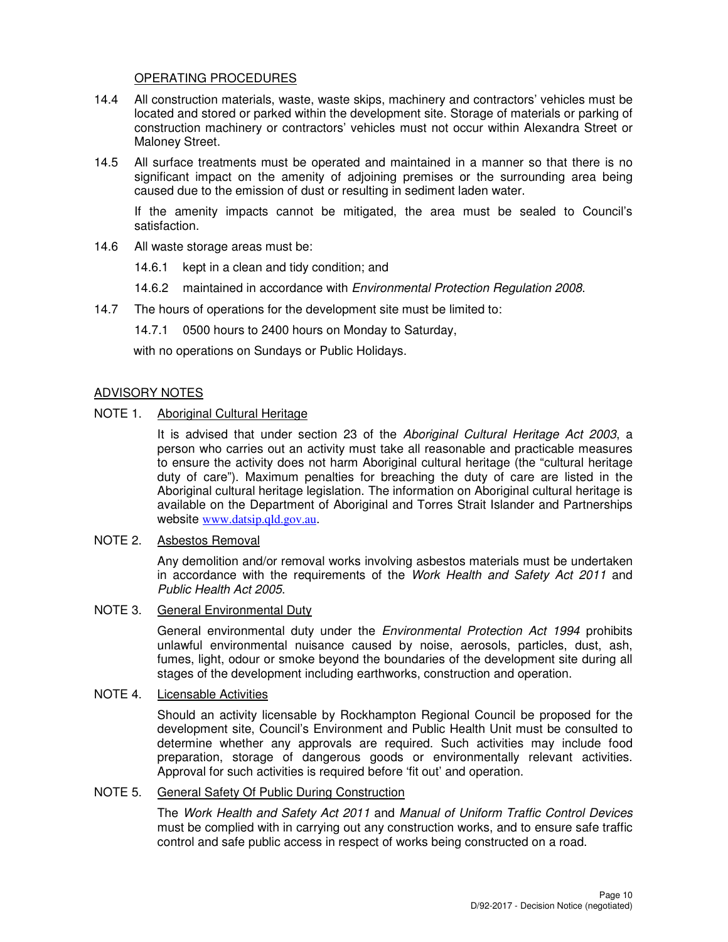# OPERATING PROCEDURES

- 14.4 All construction materials, waste, waste skips, machinery and contractors' vehicles must be located and stored or parked within the development site. Storage of materials or parking of construction machinery or contractors' vehicles must not occur within Alexandra Street or Maloney Street.
- 14.5 All surface treatments must be operated and maintained in a manner so that there is no significant impact on the amenity of adjoining premises or the surrounding area being caused due to the emission of dust or resulting in sediment laden water.

If the amenity impacts cannot be mitigated, the area must be sealed to Council's satisfaction.

- 14.6 All waste storage areas must be:
	- 14.6.1 kept in a clean and tidy condition; and
	- 14.6.2 maintained in accordance with *Environmental Protection Regulation 2008*.
- 14.7 The hours of operations for the development site must be limited to:
	- 14.7.1 0500 hours to 2400 hours on Monday to Saturday,

with no operations on Sundays or Public Holidays.

#### ADVISORY NOTES

# NOTE 1. Aboriginal Cultural Heritage

It is advised that under section 23 of the Aboriginal Cultural Heritage Act 2003, a person who carries out an activity must take all reasonable and practicable measures to ensure the activity does not harm Aboriginal cultural heritage (the "cultural heritage duty of care"). Maximum penalties for breaching the duty of care are listed in the Aboriginal cultural heritage legislation. The information on Aboriginal cultural heritage is available on the Department of Aboriginal and Torres Strait Islander and Partnerships website www.datsip.qld.gov.au.

#### NOTE 2. Asbestos Removal

Any demolition and/or removal works involving asbestos materials must be undertaken in accordance with the requirements of the Work Health and Safety Act 2011 and Public Health Act 2005.

# NOTE 3. General Environmental Duty

General environmental duty under the *Environmental Protection Act 1994* prohibits unlawful environmental nuisance caused by noise, aerosols, particles, dust, ash, fumes, light, odour or smoke beyond the boundaries of the development site during all stages of the development including earthworks, construction and operation.

#### NOTE 4. Licensable Activities

Should an activity licensable by Rockhampton Regional Council be proposed for the development site, Council's Environment and Public Health Unit must be consulted to determine whether any approvals are required. Such activities may include food preparation, storage of dangerous goods or environmentally relevant activities. Approval for such activities is required before 'fit out' and operation.

# NOTE 5. General Safety Of Public During Construction

The Work Health and Safety Act 2011 and Manual of Uniform Traffic Control Devices must be complied with in carrying out any construction works, and to ensure safe traffic control and safe public access in respect of works being constructed on a road.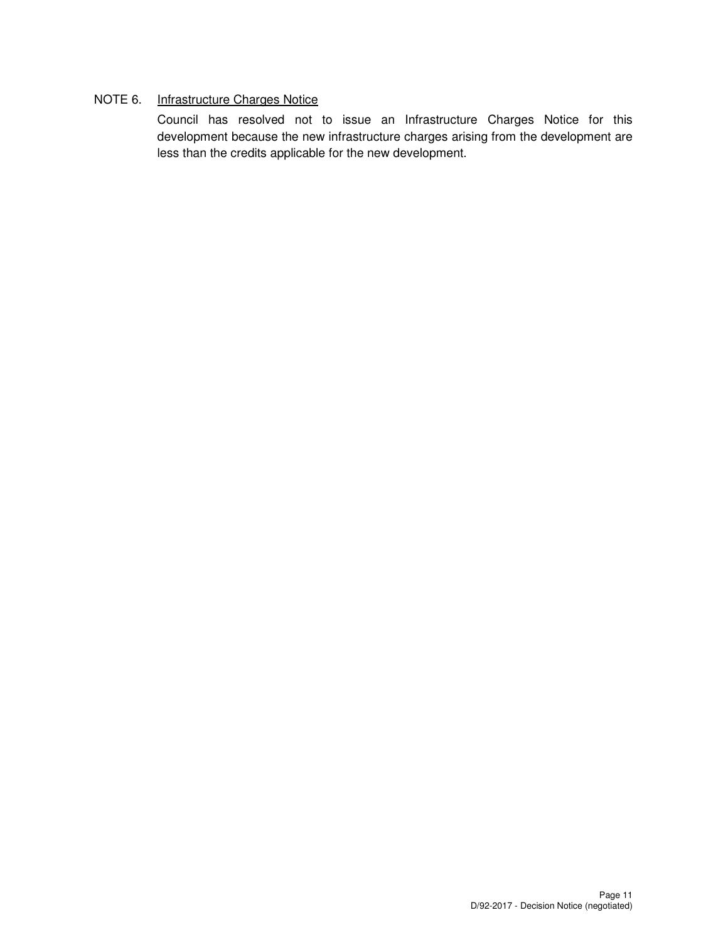# NOTE 6. Infrastructure Charges Notice

Council has resolved not to issue an Infrastructure Charges Notice for this development because the new infrastructure charges arising from the development are less than the credits applicable for the new development.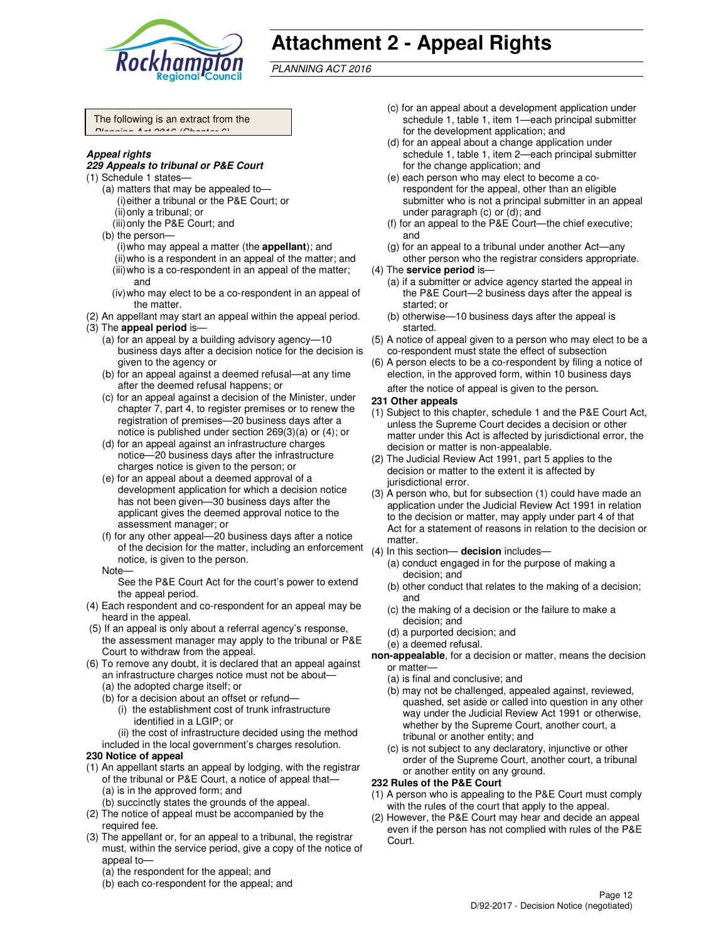

# **Attachment 2 - Appeal Rights**

PLANNING ACT 2016

The following is an extract from the  $D$ lanning Act 2016 (Ohn

#### **Appeal rights**

#### **229 Appeals to tribunal or P&E Court**

- (1) Schedule 1 states—
	- (a) matters that may be appealed to— (i) either a tribunal or the P&E Court; or (ii) only a tribunal; or
	- (iii) only the P&E Court; and

(b) the person—

- (i) who may appeal a matter (the **appellant**); and (ii) who is a respondent in an appeal of the matter; and (iii) who is a co-respondent in an appeal of the matter; and
- (iv) who may elect to be a co-respondent in an appeal of the matter.
- (2) An appellant may start an appeal within the appeal period.
- (3) The **appeal period** is—
	- (a) for an appeal by a building advisory agency—10 business days after a decision notice for the decision is given to the agency or
	- (b) for an appeal against a deemed refusal—at any time after the deemed refusal happens; or
	- (c) for an appeal against a decision of the Minister, under chapter 7, part 4, to register premises or to renew the registration of premises—20 business days after a notice is published under section 269(3)(a) or (4); or
	- (d) for an appeal against an infrastructure charges notice—20 business days after the infrastructure charges notice is given to the person; or
	- (e) for an appeal about a deemed approval of a development application for which a decision notice has not been given—30 business days after the applicant gives the deemed approval notice to the assessment manager; or
	- (f) for any other appeal—20 business days after a notice of the decision for the matter, including an enforcement notice, is given to the person.

#### Note—

- See the P&E Court Act for the court's power to extend the appeal period.
- (4) Each respondent and co-respondent for an appeal may be heard in the appeal.
- (5) If an appeal is only about a referral agency's response, the assessment manager may apply to the tribunal or P&E Court to withdraw from the appeal.
- (6) To remove any doubt, it is declared that an appeal against an infrastructure charges notice must not be about—
	- (a) the adopted charge itself; or
	- (b) for a decision about an offset or refund—
		- (i) the establishment cost of trunk infrastructure identified in a LGIP; or

(ii) the cost of infrastructure decided using the method included in the local government's charges resolution.

- **230 Notice of appeal**
- (1) An appellant starts an appeal by lodging, with the registrar of the tribunal or P&E Court, a notice of appeal that— (a) is in the approved form; and
	- (b) succinctly states the grounds of the appeal.
- (2) The notice of appeal must be accompanied by the required fee.
- (3) The appellant or, for an appeal to a tribunal, the registrar must, within the service period, give a copy of the notice of appeal to—
	- (a) the respondent for the appeal; and
	- (b) each co-respondent for the appeal; and
- (c) for an appeal about a development application under schedule 1, table 1, item 1—each principal submitter for the development application; and
- (d) for an appeal about a change application under schedule 1, table 1, item 2—each principal submitter for the change application; and
- (e) each person who may elect to become a corespondent for the appeal, other than an eligible submitter who is not a principal submitter in an appeal under paragraph (c) or (d); and
- (f) for an appeal to the P&E Court—the chief executive; and
- (g) for an appeal to a tribunal under another Act—any other person who the registrar considers appropriate.
- (4) The **service period** is—
	- (a) if a submitter or advice agency started the appeal in the P&E Court—2 business days after the appeal is started; or
	- (b) otherwise—10 business days after the appeal is started.
- (5) A notice of appeal given to a person who may elect to be a co-respondent must state the effect of subsection
- (6) A person elects to be a co-respondent by filing a notice of election, in the approved form, within 10 business days after the notice of appeal is given to the person*.*

#### **231 Other appeals**

- (1) Subject to this chapter, schedule 1 and the P&E Court Act, unless the Supreme Court decides a decision or other matter under this Act is affected by jurisdictional error, the decision or matter is non-appealable.
- (2) The Judicial Review Act 1991, part 5 applies to the decision or matter to the extent it is affected by jurisdictional error.
- (3) A person who, but for subsection (1) could have made an application under the Judicial Review Act 1991 in relation to the decision or matter, may apply under part 4 of that Act for a statement of reasons in relation to the decision or matter.
- (4) In this section— **decision** includes—
	- (a) conduct engaged in for the purpose of making a decision; and
	- (b) other conduct that relates to the making of a decision; and
	- (c) the making of a decision or the failure to make a decision; and
	- (d) a purported decision; and
	- (e) a deemed refusal.
- **non-appealable**, for a decision or matter, means the decision or matter—
	- (a) is final and conclusive; and
	- (b) may not be challenged, appealed against, reviewed, quashed, set aside or called into question in any other way under the Judicial Review Act 1991 or otherwise, whether by the Supreme Court, another court, a tribunal or another entity; and
	- (c) is not subject to any declaratory, injunctive or other order of the Supreme Court, another court, a tribunal or another entity on any ground.

#### **232 Rules of the P&E Court**

- (1) A person who is appealing to the P&E Court must comply with the rules of the court that apply to the appeal.
- (2) However, the P&E Court may hear and decide an appeal even if the person has not complied with rules of the P&E Court.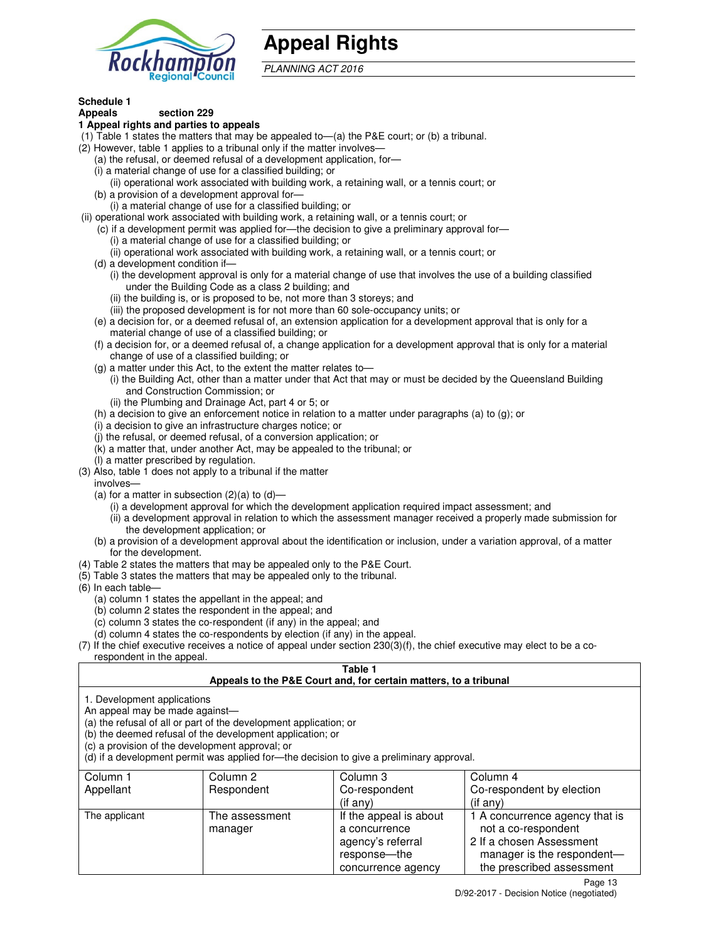

# **Appeal Rights**

PLANNING ACT 2016

# **Schedule 1**

#### **Appeals section 229 1 Appeal rights and parties to appeals**

- (1) Table 1 states the matters that may be appealed to—(a) the P&E court; or (b) a tribunal.
- (2) However, table 1 applies to a tribunal only if the matter involves—
	- (a) the refusal, or deemed refusal of a development application, for—
	- (i) a material change of use for a classified building; or
	- (ii) operational work associated with building work, a retaining wall, or a tennis court; or
	- (b) a provision of a development approval for—
	- (i) a material change of use for a classified building; or
- (ii) operational work associated with building work, a retaining wall, or a tennis court; or
	- (c) if a development permit was applied for—the decision to give a preliminary approval for—
		- (i) a material change of use for a classified building; or
		- (ii) operational work associated with building work, a retaining wall, or a tennis court; or
	- (d) a development condition if—
		- (i) the development approval is only for a material change of use that involves the use of a building classified under the Building Code as a class 2 building; and
		- (ii) the building is, or is proposed to be, not more than 3 storeys; and
		- (iii) the proposed development is for not more than 60 sole-occupancy units; or
	- (e) a decision for, or a deemed refusal of, an extension application for a development approval that is only for a material change of use of a classified building; or
	- (f) a decision for, or a deemed refusal of, a change application for a development approval that is only for a material change of use of a classified building; or
	- (g) a matter under this Act, to the extent the matter relates to—
		- (i) the Building Act, other than a matter under that Act that may or must be decided by the Queensland Building and Construction Commission; or
		- (ii) the Plumbing and Drainage Act, part 4 or 5; or
	- (h) a decision to give an enforcement notice in relation to a matter under paragraphs (a) to (g); or
	- (i) a decision to give an infrastructure charges notice; or
	- (j) the refusal, or deemed refusal, of a conversion application; or
	- (k) a matter that, under another Act, may be appealed to the tribunal; or
	- (l) a matter prescribed by regulation.
- (3) Also, table 1 does not apply to a tribunal if the matter
- involves—
	- (a) for a matter in subsection  $(2)(a)$  to  $(d)$ 
		- (i) a development approval for which the development application required impact assessment; and
		- (ii) a development approval in relation to which the assessment manager received a properly made submission for the development application; or
	- (b) a provision of a development approval about the identification or inclusion, under a variation approval, of a matter for the development.
- (4) Table 2 states the matters that may be appealed only to the P&E Court.
- (5) Table 3 states the matters that may be appealed only to the tribunal.
- (6) In each table—
	- (a) column 1 states the appellant in the appeal; and
	- (b) column 2 states the respondent in the appeal; and
	- (c) column 3 states the co-respondent (if any) in the appeal; and
	- (d) column 4 states the co-respondents by election (if any) in the appeal.
- $(7)$  If the chief executive receives a notice of appeal under section  $230(3)(f)$ , the chief executive may elect to be a corespondent in the appeal.

# **Table 1**

#### **Appeals to the P&E Court and, for certain matters, to a tribunal**

1. Development applications

An appeal may be made against—

(a) the refusal of all or part of the development application; or

(b) the deemed refusal of the development application; or

(c) a provision of the development approval; or

(d) if a development permit was applied for—the decision to give a preliminary approval.

| Column 1<br>Appellant | Column 2<br>Respondent    | Column 3<br>Co-respondent                                                                            | Column 4<br>Co-respondent by election                                                                                                        |
|-----------------------|---------------------------|------------------------------------------------------------------------------------------------------|----------------------------------------------------------------------------------------------------------------------------------------------|
|                       |                           | $($ if any $)$                                                                                       | $($ if any $)$                                                                                                                               |
| The applicant         | The assessment<br>manager | If the appeal is about<br>a concurrence<br>agency's referral<br>response---the<br>concurrence agency | 1 A concurrence agency that is<br>not a co-respondent<br>2 If a chosen Assessment<br>manager is the respondent-<br>the prescribed assessment |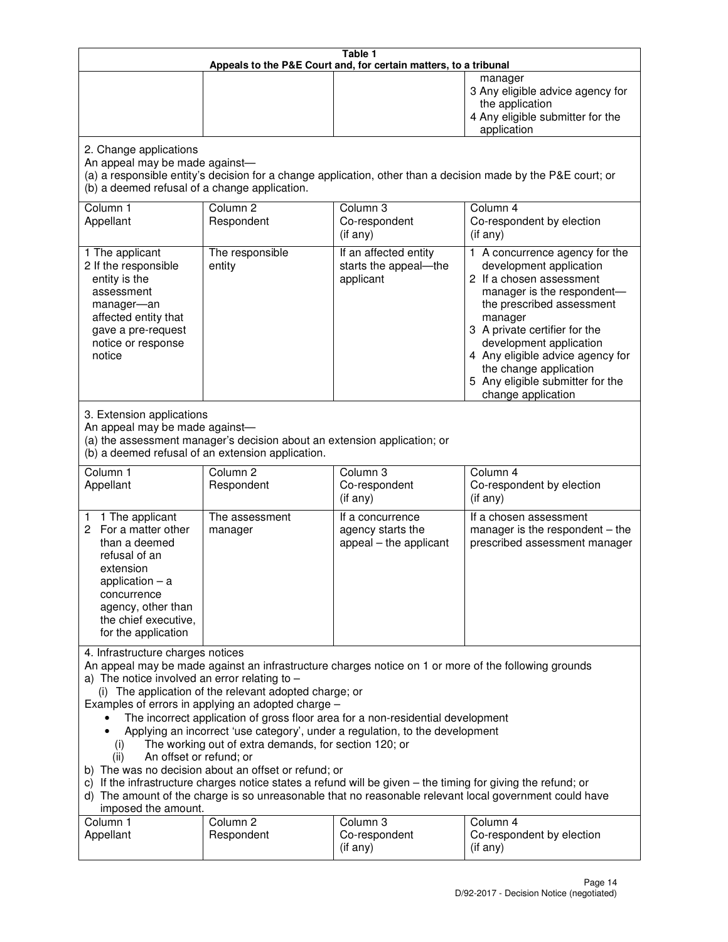| Table 1<br>Appeals to the P&E Court and, for certain matters, to a tribunal                                                                                                                                                                                                                                                                                                                                                                                                                                                                                                                                                                                                                                                                                                                                                                                                                                                                            |                                   |                                                                 |                                                                                                                                                                                                                                                                                                                                                 |
|--------------------------------------------------------------------------------------------------------------------------------------------------------------------------------------------------------------------------------------------------------------------------------------------------------------------------------------------------------------------------------------------------------------------------------------------------------------------------------------------------------------------------------------------------------------------------------------------------------------------------------------------------------------------------------------------------------------------------------------------------------------------------------------------------------------------------------------------------------------------------------------------------------------------------------------------------------|-----------------------------------|-----------------------------------------------------------------|-------------------------------------------------------------------------------------------------------------------------------------------------------------------------------------------------------------------------------------------------------------------------------------------------------------------------------------------------|
|                                                                                                                                                                                                                                                                                                                                                                                                                                                                                                                                                                                                                                                                                                                                                                                                                                                                                                                                                        |                                   |                                                                 | manager<br>3 Any eligible advice agency for<br>the application<br>4 Any eligible submitter for the<br>application                                                                                                                                                                                                                               |
| 2. Change applications<br>An appeal may be made against-<br>(a) a responsible entity's decision for a change application, other than a decision made by the P&E court; or<br>(b) a deemed refusal of a change application.                                                                                                                                                                                                                                                                                                                                                                                                                                                                                                                                                                                                                                                                                                                             |                                   |                                                                 |                                                                                                                                                                                                                                                                                                                                                 |
| Column 1<br>Appellant                                                                                                                                                                                                                                                                                                                                                                                                                                                                                                                                                                                                                                                                                                                                                                                                                                                                                                                                  | Column <sub>2</sub><br>Respondent | Column 3<br>Co-respondent<br>(if any)                           | Column 4<br>Co-respondent by election<br>(if any)                                                                                                                                                                                                                                                                                               |
| 1 The applicant<br>2 If the responsible<br>entity is the<br>assessment<br>manager-an<br>affected entity that<br>gave a pre-request<br>notice or response<br>notice                                                                                                                                                                                                                                                                                                                                                                                                                                                                                                                                                                                                                                                                                                                                                                                     | The responsible<br>entity         | If an affected entity<br>starts the appeal-the<br>applicant     | 1 A concurrence agency for the<br>development application<br>2 If a chosen assessment<br>manager is the respondent-<br>the prescribed assessment<br>manager<br>3 A private certifier for the<br>development application<br>4 Any eligible advice agency for<br>the change application<br>5 Any eligible submitter for the<br>change application |
| 3. Extension applications<br>An appeal may be made against-<br>(a) the assessment manager's decision about an extension application; or<br>(b) a deemed refusal of an extension application.                                                                                                                                                                                                                                                                                                                                                                                                                                                                                                                                                                                                                                                                                                                                                           |                                   |                                                                 |                                                                                                                                                                                                                                                                                                                                                 |
| Column 1<br>Appellant                                                                                                                                                                                                                                                                                                                                                                                                                                                                                                                                                                                                                                                                                                                                                                                                                                                                                                                                  | Column <sub>2</sub><br>Respondent | Column 3<br>Co-respondent<br>(if any)                           | Column 4<br>Co-respondent by election<br>(if any)                                                                                                                                                                                                                                                                                               |
| 1 The applicant<br>1.<br>2 For a matter other<br>than a deemed<br>refusal of an<br>extension<br>application $-$ a<br>concurrence<br>agency, other than<br>the chief executive,<br>for the application                                                                                                                                                                                                                                                                                                                                                                                                                                                                                                                                                                                                                                                                                                                                                  | The assessment<br>manager         | If a concurrence<br>agency starts the<br>appeal - the applicant | If a chosen assessment<br>manager is the respondent $-$ the<br>prescribed assessment manager                                                                                                                                                                                                                                                    |
| 4. Infrastructure charges notices<br>An appeal may be made against an infrastructure charges notice on 1 or more of the following grounds<br>a) The notice involved an error relating to $-$<br>(i) The application of the relevant adopted charge; or<br>Examples of errors in applying an adopted charge -<br>The incorrect application of gross floor area for a non-residential development<br>Applying an incorrect 'use category', under a regulation, to the development<br>The working out of extra demands, for section 120; or<br>(i)<br>An offset or refund; or<br>(ii)<br>b) The was no decision about an offset or refund; or<br>c) If the infrastructure charges notice states a refund will be given - the timing for giving the refund; or<br>d) The amount of the charge is so unreasonable that no reasonable relevant local government could have<br>imposed the amount.<br>Column <sub>2</sub><br>Column 3<br>Column 1<br>Column 4 |                                   |                                                                 |                                                                                                                                                                                                                                                                                                                                                 |
| Appellant                                                                                                                                                                                                                                                                                                                                                                                                                                                                                                                                                                                                                                                                                                                                                                                                                                                                                                                                              | Respondent                        | Co-respondent<br>(if any)                                       | Co-respondent by election<br>(if any)                                                                                                                                                                                                                                                                                                           |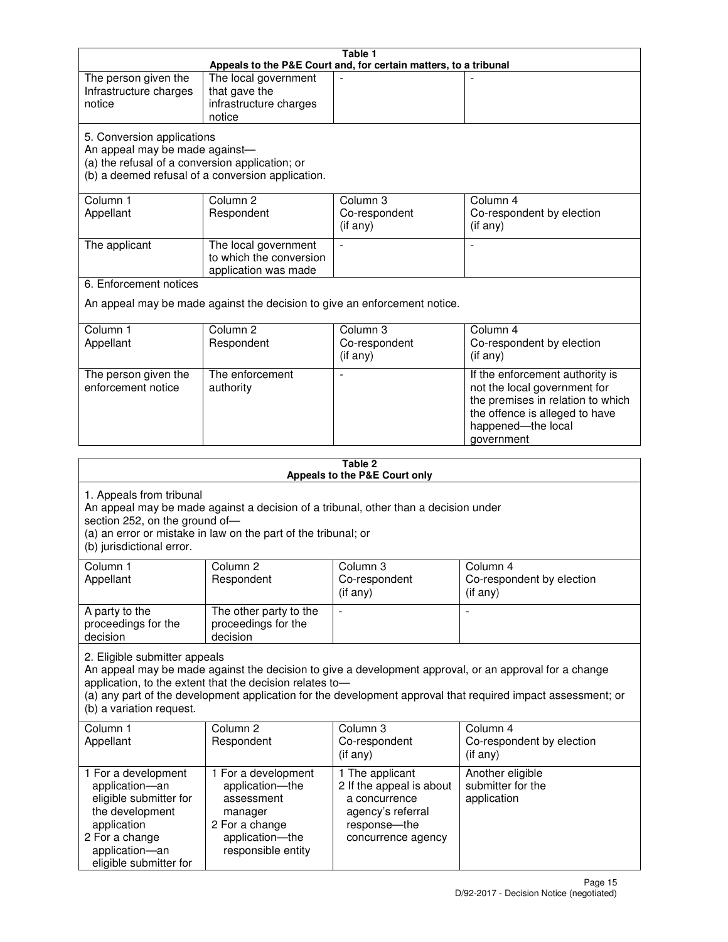| Table 1<br>Appeals to the P&E Court and, for certain matters, to a tribunal                                                                                                                                                                                                                                                                     |                                                                                                                            |                                                                                                                         |                                                                                                                                                                            |
|-------------------------------------------------------------------------------------------------------------------------------------------------------------------------------------------------------------------------------------------------------------------------------------------------------------------------------------------------|----------------------------------------------------------------------------------------------------------------------------|-------------------------------------------------------------------------------------------------------------------------|----------------------------------------------------------------------------------------------------------------------------------------------------------------------------|
| The person given the<br>Infrastructure charges<br>notice                                                                                                                                                                                                                                                                                        | The local government<br>that gave the<br>infrastructure charges<br>notice                                                  |                                                                                                                         |                                                                                                                                                                            |
| 5. Conversion applications<br>An appeal may be made against-<br>(a) the refusal of a conversion application; or<br>(b) a deemed refusal of a conversion application.                                                                                                                                                                            |                                                                                                                            |                                                                                                                         |                                                                                                                                                                            |
| Column 1<br>Appellant                                                                                                                                                                                                                                                                                                                           | Column <sub>2</sub><br>Respondent                                                                                          | Column 3<br>Co-respondent<br>(if any)                                                                                   | Column 4<br>Co-respondent by election<br>(if any)                                                                                                                          |
| The applicant                                                                                                                                                                                                                                                                                                                                   | The local government<br>to which the conversion<br>application was made                                                    | $\sim$                                                                                                                  | $\overline{\phantom{a}}$                                                                                                                                                   |
| 6. Enforcement notices                                                                                                                                                                                                                                                                                                                          |                                                                                                                            |                                                                                                                         |                                                                                                                                                                            |
|                                                                                                                                                                                                                                                                                                                                                 | An appeal may be made against the decision to give an enforcement notice.                                                  |                                                                                                                         |                                                                                                                                                                            |
| Column 1<br>Appellant                                                                                                                                                                                                                                                                                                                           | Column <sub>2</sub><br>Respondent                                                                                          | Column 3<br>Co-respondent<br>(if any)                                                                                   | Column 4<br>Co-respondent by election<br>(if any)                                                                                                                          |
| The person given the<br>enforcement notice                                                                                                                                                                                                                                                                                                      | The enforcement<br>authority                                                                                               |                                                                                                                         | If the enforcement authority is<br>not the local government for<br>the premises in relation to which<br>the offence is alleged to have<br>happened-the local<br>government |
|                                                                                                                                                                                                                                                                                                                                                 |                                                                                                                            | Table 2<br>Appeals to the P&E Court only                                                                                |                                                                                                                                                                            |
| 1. Appeals from tribunal<br>An appeal may be made against a decision of a tribunal, other than a decision under<br>section 252, on the ground of-<br>(a) an error or mistake in law on the part of the tribunal; or<br>(b) jurisdictional error.                                                                                                |                                                                                                                            |                                                                                                                         |                                                                                                                                                                            |
| Column <sub>1</sub><br>Appellant                                                                                                                                                                                                                                                                                                                | Column 2<br>Respondent                                                                                                     | Column 3<br>Co-respondent<br>$($ if any $)$                                                                             | Column 4<br>Co-respondent by election<br>$($ if any $)$                                                                                                                    |
| A party to the<br>proceedings for the<br>decision                                                                                                                                                                                                                                                                                               | The other party to the<br>proceedings for the<br>decision                                                                  | $\blacksquare$                                                                                                          | $\overline{a}$                                                                                                                                                             |
| 2. Eligible submitter appeals<br>An appeal may be made against the decision to give a development approval, or an approval for a change<br>application, to the extent that the decision relates to-<br>(a) any part of the development application for the development approval that required impact assessment; or<br>(b) a variation request. |                                                                                                                            |                                                                                                                         |                                                                                                                                                                            |
| Column 1<br>Appellant                                                                                                                                                                                                                                                                                                                           | Column <sub>2</sub><br>Respondent                                                                                          | Column 3<br>Co-respondent<br>(if any)                                                                                   | Column 4<br>Co-respondent by election<br>(if any)                                                                                                                          |
| 1 For a development<br>application-an<br>eligible submitter for<br>the development<br>application<br>2 For a change<br>application-an<br>eligible submitter for                                                                                                                                                                                 | 1 For a development<br>application-the<br>assessment<br>manager<br>2 For a change<br>application-the<br>responsible entity | 1 The applicant<br>2 If the appeal is about<br>a concurrence<br>agency's referral<br>response-the<br>concurrence agency | Another eligible<br>submitter for the<br>application                                                                                                                       |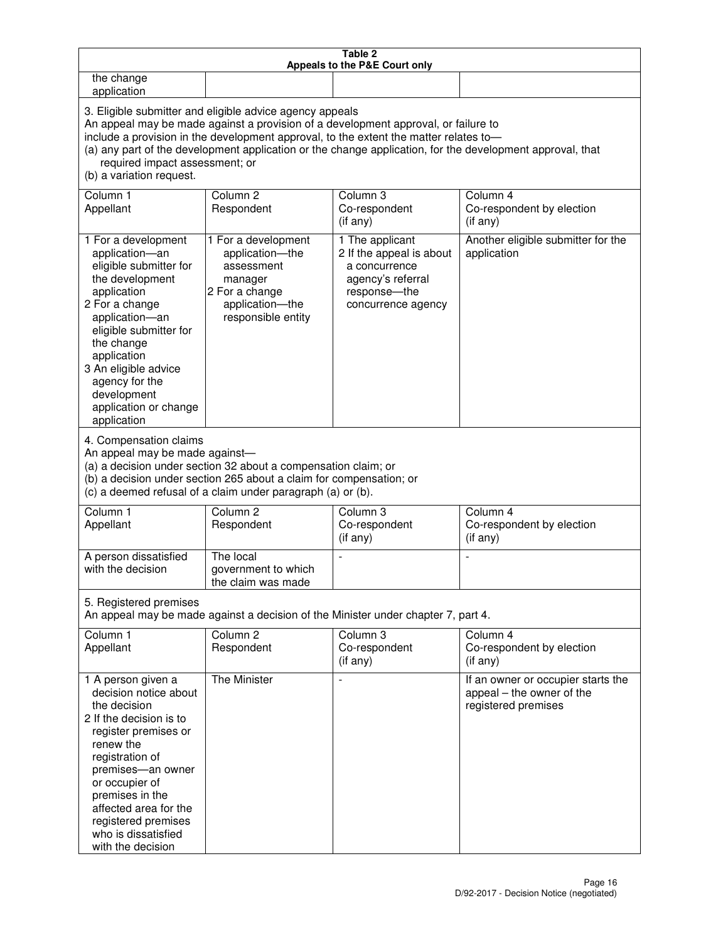| Table 2<br>Appeals to the P&E Court only                                                                                                                                                                                                                                                                                                                                                                           |                                                                                                                            |                                                                                                                         |                                                                                        |
|--------------------------------------------------------------------------------------------------------------------------------------------------------------------------------------------------------------------------------------------------------------------------------------------------------------------------------------------------------------------------------------------------------------------|----------------------------------------------------------------------------------------------------------------------------|-------------------------------------------------------------------------------------------------------------------------|----------------------------------------------------------------------------------------|
| the change<br>application                                                                                                                                                                                                                                                                                                                                                                                          |                                                                                                                            |                                                                                                                         |                                                                                        |
| 3. Eligible submitter and eligible advice agency appeals<br>An appeal may be made against a provision of a development approval, or failure to<br>include a provision in the development approval, to the extent the matter relates to-<br>(a) any part of the development application or the change application, for the development approval, that<br>required impact assessment; or<br>(b) a variation request. |                                                                                                                            |                                                                                                                         |                                                                                        |
| Column 1<br>Appellant                                                                                                                                                                                                                                                                                                                                                                                              | Column <sub>2</sub><br>Respondent                                                                                          | Column 3<br>Co-respondent<br>(if any)                                                                                   | Column 4<br>Co-respondent by election<br>(if any)                                      |
| 1 For a development<br>application-an<br>eligible submitter for<br>the development<br>application<br>2 For a change<br>application-an<br>eligible submitter for<br>the change<br>application<br>3 An eligible advice<br>agency for the<br>development<br>application or change<br>application                                                                                                                      | 1 For a development<br>application-the<br>assessment<br>manager<br>2 For a change<br>application-the<br>responsible entity | 1 The applicant<br>2 If the appeal is about<br>a concurrence<br>agency's referral<br>response-the<br>concurrence agency | Another eligible submitter for the<br>application                                      |
| 4. Compensation claims<br>An appeal may be made against-<br>(a) a decision under section 32 about a compensation claim; or<br>(b) a decision under section 265 about a claim for compensation; or<br>(c) a deemed refusal of a claim under paragraph (a) or (b).                                                                                                                                                   |                                                                                                                            |                                                                                                                         |                                                                                        |
| Column <sub>1</sub><br>Appellant                                                                                                                                                                                                                                                                                                                                                                                   | Column <sub>2</sub><br>Respondent                                                                                          | Column 3<br>Co-respondent<br>(if any)                                                                                   | Column 4<br>Co-respondent by election<br>(if any)                                      |
| A person dissatisfied<br>with the decision                                                                                                                                                                                                                                                                                                                                                                         | The local<br>government to which<br>the claim was made                                                                     |                                                                                                                         |                                                                                        |
| 5. Registered premises<br>An appeal may be made against a decision of the Minister under chapter 7, part 4.                                                                                                                                                                                                                                                                                                        |                                                                                                                            |                                                                                                                         |                                                                                        |
| Column 1<br>Appellant                                                                                                                                                                                                                                                                                                                                                                                              | Column <sub>2</sub><br>Respondent                                                                                          | Column 3<br>Co-respondent<br>(if any)                                                                                   | Column 4<br>Co-respondent by election<br>(if any)                                      |
| 1 A person given a<br>decision notice about<br>the decision<br>2 If the decision is to<br>register premises or<br>renew the<br>registration of<br>premises-an owner<br>or occupier of<br>premises in the<br>affected area for the<br>registered premises<br>who is dissatisfied<br>with the decision                                                                                                               | The Minister                                                                                                               | $\overline{\phantom{a}}$                                                                                                | If an owner or occupier starts the<br>appeal – the owner of the<br>registered premises |